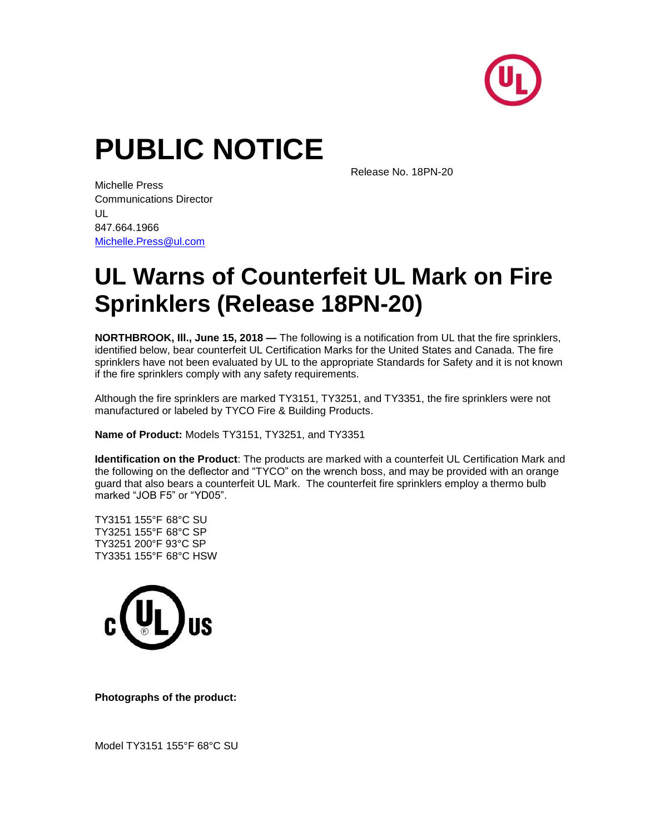

## **PUBLIC NOTICE**

Release No. 18PN-20

Michelle Press Communications Director UL 847.664.1966 [Michelle.Press@ul.com](mailto:Brooke.Arrington@ul.com)

## **UL Warns of Counterfeit UL Mark on Fire Sprinklers (Release 18PN-20)**

**NORTHBROOK, Ill., June 15, 2018 —** The following is a notification from UL that the fire sprinklers, identified below, bear counterfeit UL Certification Marks for the United States and Canada. The fire sprinklers have not been evaluated by UL to the appropriate Standards for Safety and it is not known if the fire sprinklers comply with any safety requirements.

Although the fire sprinklers are marked TY3151, TY3251, and TY3351, the fire sprinklers were not manufactured or labeled by TYCO Fire & Building Products.

**Name of Product:** Models TY3151, TY3251, and TY3351

**Identification on the Product**: The products are marked with a counterfeit UL Certification Mark and the following on the deflector and "TYCO" on the wrench boss, and may be provided with an orange guard that also bears a counterfeit UL Mark. The counterfeit fire sprinklers employ a thermo bulb marked "JOB F5" or "YD05".

TY3151 155°F 68°C SU TY3251 155°F 68°C SP TY3251 200°F 93°C SP TY3351 155°F 68°C HSW



**Photographs of the product:**

Model TY3151 155°F 68°C SU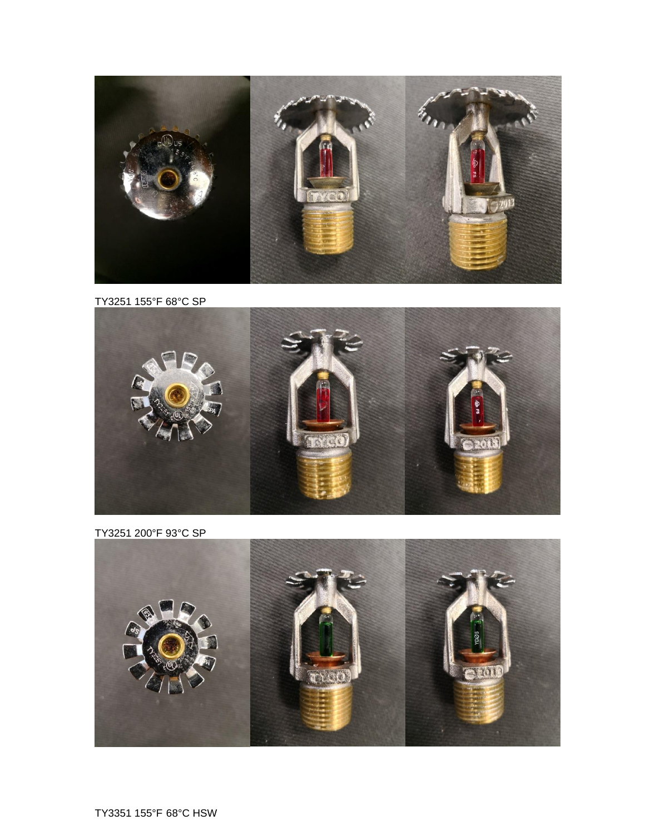

TY3251 155°F 68°C SP



TY3251 200°F 93°C SP

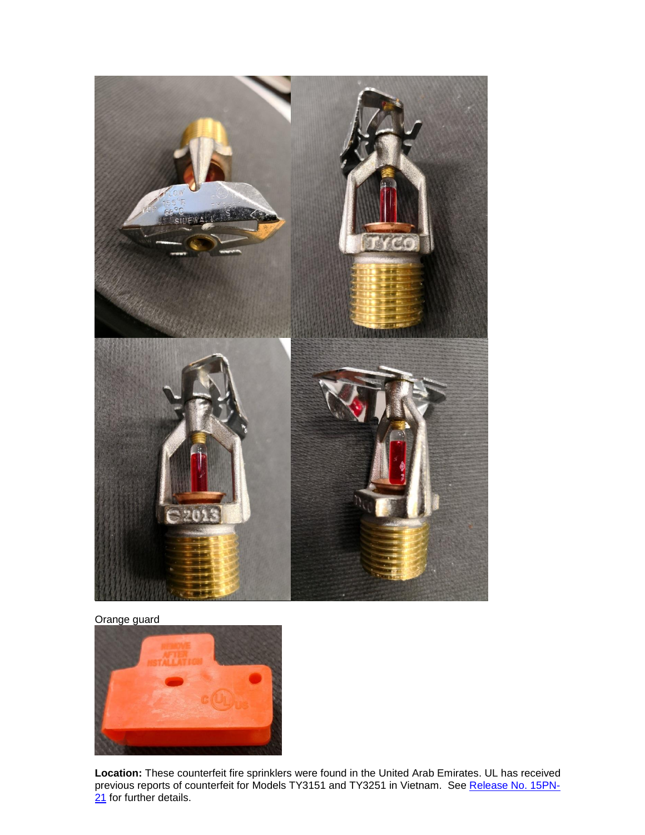

Orange guard



**Location:** These counterfeit fire sprinklers were found in the United Arab Emirates. UL has received previous reports of counterfeit for Models TY3151 and TY3251 in Vietnam. See [Release No. 15PN-](https://www.ul.com/newsroom/publicnotices/ul-warns-of-counterfeit-fire-sprinklers-release-no-15pn-21/)[21](https://www.ul.com/newsroom/publicnotices/ul-warns-of-counterfeit-fire-sprinklers-release-no-15pn-21/) for further details.